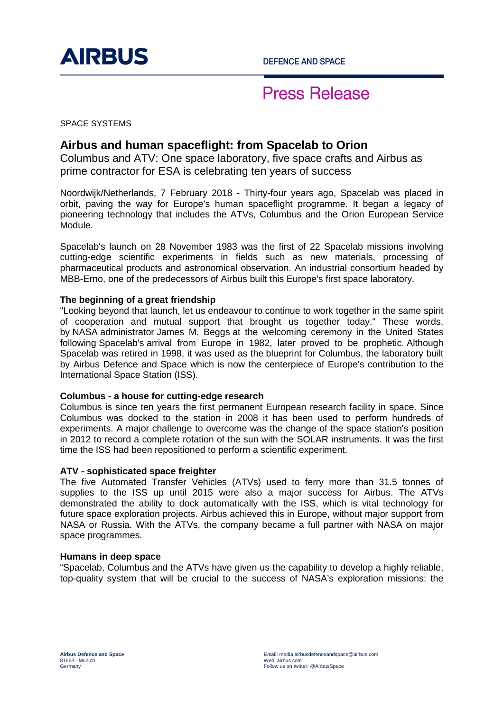

## **Press Release**

SPACE SYSTEMS

### **Airbus and human spaceflight: from Spacelab to Orion**

Columbus and ATV: One space laboratory, five space crafts and Airbus as prime contractor for ESA is celebrating ten years of success

Noordwijk/Netherlands, 7 February 2018 - Thirty-four years ago, Spacelab was placed in orbit, paving the way for Europe's human spaceflight programme. It began a legacy of pioneering technology that includes the ATVs, Columbus and the Orion European Service Module.

Spacelab's launch on 28 November 1983 was the first of 22 Spacelab missions involving cutting-edge scientific experiments in fields such as new materials, processing of pharmaceutical products and astronomical observation. An industrial consortium headed by MBB-Erno, one of the predecessors of Airbus built this Europe's first space laboratory.

#### **The beginning of a great friendship**

"Looking beyond that launch, let us endeavour to continue to work together in the same spirit of cooperation and mutual support that brought us together today." These words, by NASA administrator James M. Beggs at the welcoming ceremony in the United States following Spacelab's arrival from Europe in 1982, later proved to be prophetic. Although Spacelab was retired in 1998, it was used as the blueprint for Columbus, the laboratory built by Airbus Defence and Space which is now the centerpiece of Europe's contribution to the International Space Station (ISS).

#### **Columbus - a house for cutting-edge research**

Columbus is since ten years the first permanent European research facility in space. Since Columbus was docked to the station in 2008 it has been used to perform hundreds of experiments. A major challenge to overcome was the change of the space station's position in 2012 to record a complete rotation of the sun with the SOLAR instruments. It was the first time the ISS had been repositioned to perform a scientific experiment.

#### **ATV - sophisticated space freighter**

The five Automated Transfer Vehicles (ATVs) used to ferry more than 31.5 tonnes of supplies to the ISS up until 2015 were also a major success for Airbus. The ATVs demonstrated the ability to dock automatically with the ISS, which is vital technology for future space exploration projects. Airbus achieved this in Europe, without major support from NASA or Russia. With the ATVs, the company became a full partner with NASA on major space programmes.

#### **Humans in deep space**

"Spacelab, Columbus and the ATVs have given us the capability to develop a highly reliable, top-quality system that will be crucial to the success of NASA's exploration missions: the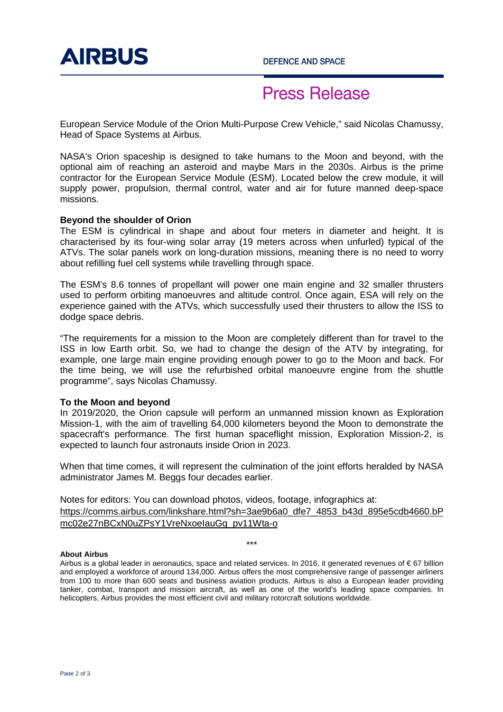

## **Press Release**

European Service Module of the Orion Multi-Purpose Crew Vehicle," said Nicolas Chamussy, Head of Space Systems at Airbus.

NASA's Orion spaceship is designed to take humans to the Moon and beyond, with the optional aim of reaching an asteroid and maybe Mars in the 2030s. Airbus is the prime contractor for the European Service Module (ESM). Located below the crew module, it will supply power, propulsion, thermal control, water and air for future manned deep-space missions.

#### **Beyond the shoulder of Orion**

The ESM is cylindrical in shape and about four meters in diameter and height. It is characterised by its four-wing solar array (19 meters across when unfurled) typical of the ATVs. The solar panels work on long-duration missions, meaning there is no need to worry about refilling fuel cell systems while travelling through space.

The ESM's 8.6 tonnes of propellant will power one main engine and 32 smaller thrusters used to perform orbiting manoeuvres and altitude control. Once again, ESA will rely on the experience gained with the ATVs, which successfully used their thrusters to allow the ISS to dodge space debris.

"The requirements for a mission to the Moon are completely different than for travel to the ISS in low Earth orbit. So, we had to change the design of the ATV by integrating, for example, one large main engine providing enough power to go to the Moon and back. For the time being, we will use the refurbished orbital manoeuvre engine from the shuttle programme", says Nicolas Chamussy.

#### **To the Moon and beyond**

In 2019/2020, the Orion capsule will perform an unmanned mission known as Exploration Mission-1, with the aim of travelling 64,000 kilometers beyond the Moon to demonstrate the spacecraft's performance. The first human spaceflight mission, Exploration Mission-2, is expected to launch four astronauts inside Orion in 2023.

When that time comes, it will represent the culmination of the joint efforts heralded by NASA administrator James M. Beggs four decades earlier.

Notes for editors: You can download photos, videos, footage, infographics at: https://comms.airbus.com/linkshare.html?sh=3ae9b6a0\_dfe7\_4853\_b43d\_895e5cdb4660.bP mc02e27nBCxN0uZPsY1VreNxoeIauGq\_pv11Wta-o

\*\*\*

#### **About Airbus**

Airbus is a global leader in aeronautics, space and related services. In 2016, it generated revenues of € 67 billion and employed a workforce of around 134,000. Airbus offers the most comprehensive range of passenger airliners from 100 to more than 600 seats and business aviation products. Airbus is also a European leader providing tanker, combat, transport and mission aircraft, as well as one of the world's leading space companies. In helicopters, Airbus provides the most efficient civil and military rotorcraft solutions worldwide.